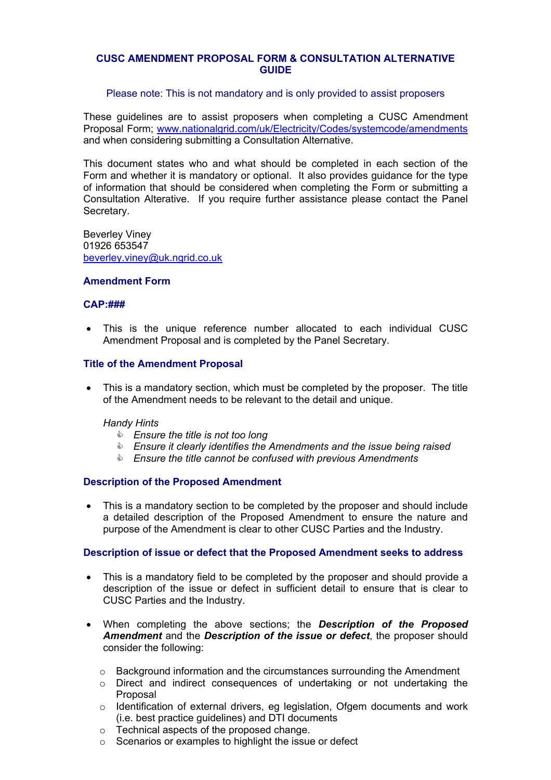## **CUSC AMENDMENT PROPOSAL FORM & CONSULTATION ALTERNATIVE GUIDE**

## Please note: This is not mandatory and is only provided to assist proposers

These guidelines are to assist proposers when completing a CUSC Amendment Proposal Form; www.nationalgrid.com/uk/Electricity/Codes/systemcode/amendments and when considering submitting a Consultation Alternative.

This document states who and what should be completed in each section of the Form and whether it is mandatory or optional. It also provides guidance for the type of information that should be considered when completing the Form or submitting a Consultation Alterative. If you require further assistance please contact the Panel Secretary.

Beverley Viney 01926 653547 beverley.viney@uk.ngrid.co.uk

### **Amendment Form**

### **CAP:###**

• This is the unique reference number allocated to each individual CUSC Amendment Proposal and is completed by the Panel Secretary.

## **Title of the Amendment Proposal**

This is a mandatory section, which must be completed by the proposer. The title of the Amendment needs to be relevant to the detail and unique.

## *Handy Hints*

- & *Ensure the title is not too long*
- & *Ensure it clearly identifies the Amendments and the issue being raised*
- & *Ensure the title cannot be confused with previous Amendments*

### **Description of the Proposed Amendment**

• This is a mandatory section to be completed by the proposer and should include a detailed description of the Proposed Amendment to ensure the nature and purpose of the Amendment is clear to other CUSC Parties and the Industry.

### **Description of issue or defect that the Proposed Amendment seeks to address**

- This is a mandatory field to be completed by the proposer and should provide a description of the issue or defect in sufficient detail to ensure that is clear to CUSC Parties and the Industry.
- When completing the above sections; the *Description of the Proposed Amendment* and the *Description of the issue or defect*, the proposer should consider the following:
	- $\circ$  Background information and the circumstances surrounding the Amendment
	- o Direct and indirect consequences of undertaking or not undertaking the Proposal
	- $\circ$  Identification of external drivers, eg legislation, Ofgem documents and work (i.e. best practice guidelines) and DTI documents
	- o Technical aspects of the proposed change.
	- o Scenarios or examples to highlight the issue or defect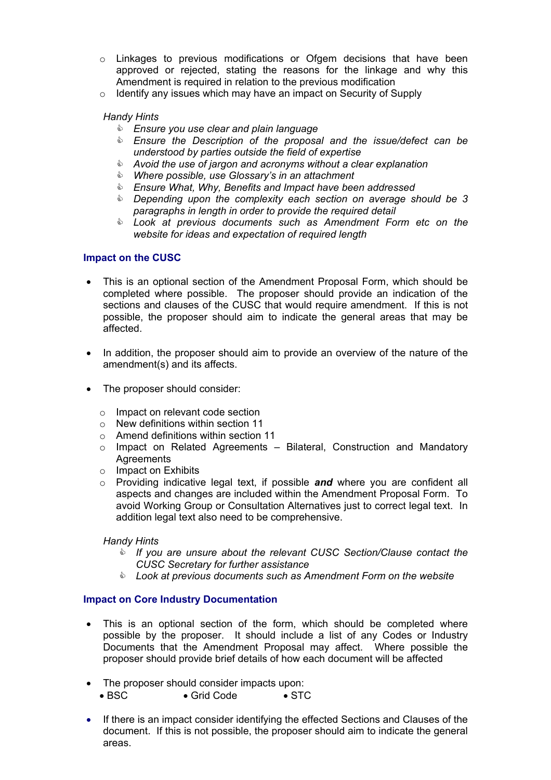- $\circ$  Linkages to previous modifications or Ofgem decisions that have been approved or rejected, stating the reasons for the linkage and why this Amendment is required in relation to the previous modification
- $\circ$  Identify any issues which may have an impact on Security of Supply

## *Handy Hints*

- & *Ensure you use clear and plain language*
- & *Ensure the Description of the proposal and the issue/defect can be understood by parties outside the field of expertise*
- & *Avoid the use of jargon and acronyms without a clear explanation*
- & *Where possible, use Glossary's in an attachment*
- & *Ensure What, Why, Benefits and Impact have been addressed*
- & *Depending upon the complexity each section on average should be 3 paragraphs in length in order to provide the required detail*
- & *Look at previous documents such as Amendment Form etc on the website for ideas and expectation of required length*

## **Impact on the CUSC**

- This is an optional section of the Amendment Proposal Form, which should be completed where possible. The proposer should provide an indication of the sections and clauses of the CUSC that would require amendment. If this is not possible, the proposer should aim to indicate the general areas that may be affected.
- In addition, the proposer should aim to provide an overview of the nature of the amendment(s) and its affects.
- The proposer should consider:
	- o Impact on relevant code section
	- o New definitions within section 11
	- o Amend definitions within section 11
	- o Impact on Related Agreements Bilateral, Construction and Mandatory **Agreements**
	- o Impact on Exhibits
	- o Providing indicative legal text, if possible *and* where you are confident all aspects and changes are included within the Amendment Proposal Form. To avoid Working Group or Consultation Alternatives just to correct legal text. In addition legal text also need to be comprehensive.

### *Handy Hints*

- & *If you are unsure about the relevant CUSC Section/Clause contact the CUSC Secretary for further assistance*
- & *Look at previous documents such as Amendment Form on the website*

# **Impact on Core Industry Documentation**

- This is an optional section of the form, which should be completed where possible by the proposer. It should include a list of any Codes or Industry Documents that the Amendment Proposal may affect. Where possible the proposer should provide brief details of how each document will be affected
- The proposer should consider impacts upon:
	- BSC Grid Code STC
- If there is an impact consider identifying the effected Sections and Clauses of the document. If this is not possible, the proposer should aim to indicate the general areas.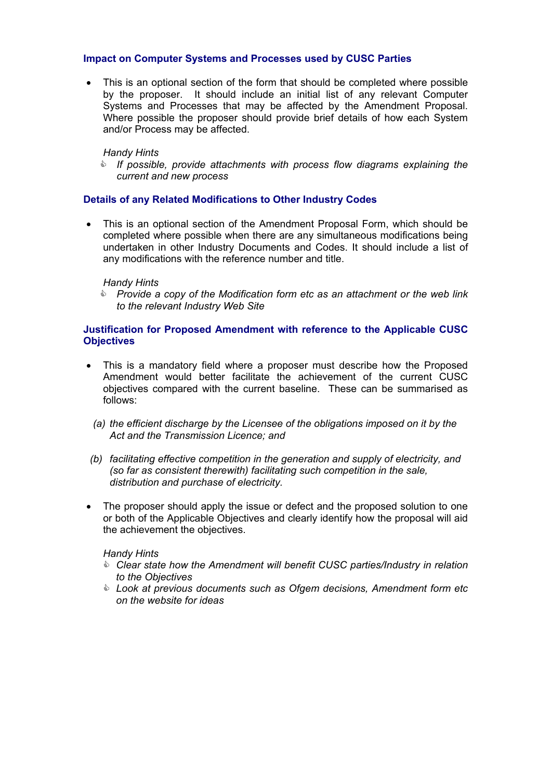## **Impact on Computer Systems and Processes used by CUSC Parties**

• This is an optional section of the form that should be completed where possible by the proposer. It should include an initial list of any relevant Computer Systems and Processes that may be affected by the Amendment Proposal. Where possible the proposer should provide brief details of how each System and/or Process may be affected.

## *Handy Hints*

& *If possible, provide attachments with process flow diagrams explaining the current and new process*

## **Details of any Related Modifications to Other Industry Codes**

• This is an optional section of the Amendment Proposal Form, which should be completed where possible when there are any simultaneous modifications being undertaken in other Industry Documents and Codes. It should include a list of any modifications with the reference number and title.

### *Handy Hints*

& *Provide a copy of the Modification form etc as an attachment or the web link to the relevant Industry Web Site* 

## **Justification for Proposed Amendment with reference to the Applicable CUSC Objectives**

- This is a mandatory field where a proposer must describe how the Proposed Amendment would better facilitate the achievement of the current CUSC objectives compared with the current baseline. These can be summarised as follows:
	- *(a) the efficient discharge by the Licensee of the obligations imposed on it by the Act and the Transmission Licence; and*
- *(b) facilitating effective competition in the generation and supply of electricity, and (so far as consistent therewith) facilitating such competition in the sale, distribution and purchase of electricity.*
- The proposer should apply the issue or defect and the proposed solution to one or both of the Applicable Objectives and clearly identify how the proposal will aid the achievement the objectives.

### *Handy Hints*

- & *Clear state how the Amendment will benefit CUSC parties/Industry in relation to the Objectives*
- & *Look at previous documents such as Ofgem decisions, Amendment form etc on the website for ideas*